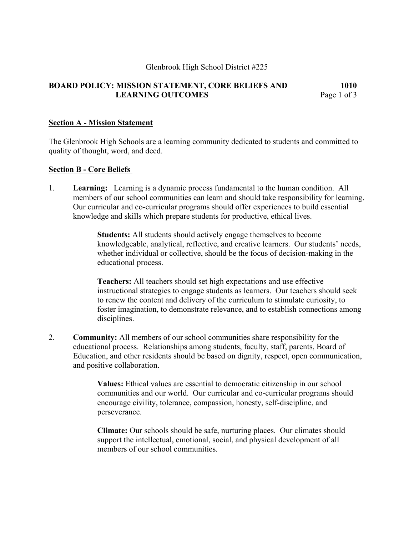### Glenbrook High School District #225

# **BOARD POLICY: MISSION STATEMENT, CORE BELIEFS AND 1010 LEARNING OUTCOMES** Page 1 of 3

#### **Section A - Mission Statement**

The Glenbrook High Schools are a learning community dedicated to students and committed to quality of thought, word, and deed.

#### **Section B - Core Beliefs**

1. **Learning:** Learning is a dynamic process fundamental to the human condition. All members of our school communities can learn and should take responsibility for learning. Our curricular and co-curricular programs should offer experiences to build essential knowledge and skills which prepare students for productive, ethical lives.

> **Students:** All students should actively engage themselves to become knowledgeable, analytical, reflective, and creative learners. Our students' needs, whether individual or collective, should be the focus of decision-making in the educational process.

> **Teachers:** All teachers should set high expectations and use effective instructional strategies to engage students as learners. Our teachers should seek to renew the content and delivery of the curriculum to stimulate curiosity, to foster imagination, to demonstrate relevance, and to establish connections among disciplines.

2. **Community:** All members of our school communities share responsibility for the educational process. Relationships among students, faculty, staff, parents, Board of Education, and other residents should be based on dignity, respect, open communication, and positive collaboration.

> **Values:** Ethical values are essential to democratic citizenship in our school communities and our world. Our curricular and co-curricular programs should encourage civility, tolerance, compassion, honesty, self-discipline, and perseverance.

**Climate:** Our schools should be safe, nurturing places. Our climates should support the intellectual, emotional, social, and physical development of all members of our school communities.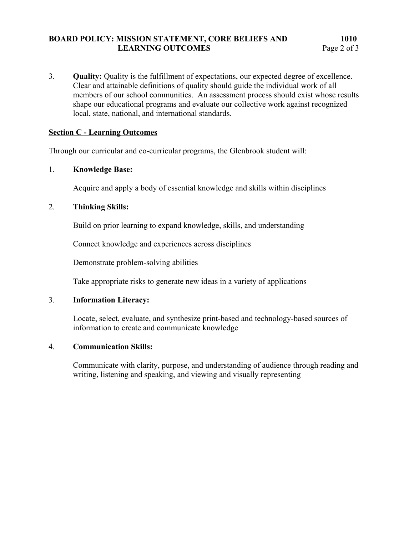# **BOARD POLICY: MISSION STATEMENT, CORE BELIEFS AND 1010** LEARNING OUTCOMES Page 2 of 3

3. **Quality:** Quality is the fulfillment of expectations, our expected degree of excellence. Clear and attainable definitions of quality should guide the individual work of all members of our school communities. An assessment process should exist whose results shape our educational programs and evaluate our collective work against recognized local, state, national, and international standards.

# **Section C - Learning Outcomes**

Through our curricular and co-curricular programs, the Glenbrook student will:

## 1. **Knowledge Base:**

Acquire and apply a body of essential knowledge and skills within disciplines

# 2. **Thinking Skills:**

Build on prior learning to expand knowledge, skills, and understanding

Connect knowledge and experiences across disciplines

Demonstrate problem-solving abilities

Take appropriate risks to generate new ideas in a variety of applications

## 3. **Information Literacy:**

Locate, select, evaluate, and synthesize print-based and technology-based sources of information to create and communicate knowledge

## 4. **Communication Skills:**

Communicate with clarity, purpose, and understanding of audience through reading and writing, listening and speaking, and viewing and visually representing